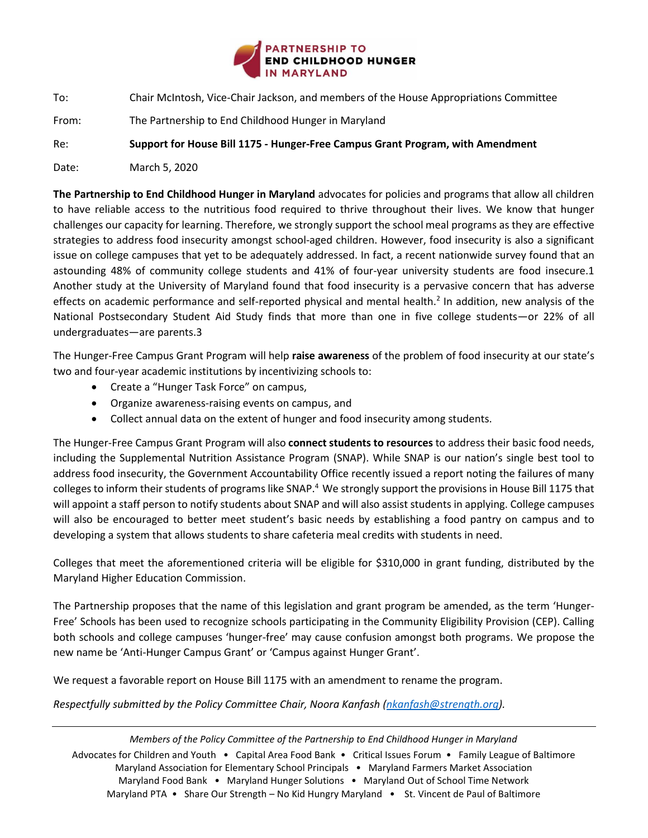

To: Chair McIntosh, Vice-Chair Jackson, and members of the House Appropriations Committee

From: The Partnership to End Childhood Hunger in Maryland

Re: **Support for House Bill 1175 - Hunger-Free Campus Grant Program, with Amendment**

Date: March 5, 2020

**The Partnership to End Childhood Hunger in Maryland** advocates for policies and programs that allow all children to have reliable access to the nutritious food required to thrive throughout their lives. We know that hunger challenges our capacity for learning. Therefore, we strongly support the school meal programs as they are effective strategies to address food insecurity amongst school-aged children. However, food insecurity is also a significant issue on college campuses that yet to be adequately addressed. In fact, a recent nationwide survey found that an astounding 48% of community college students and 41% of four-year university students are food insecure.1 Another study at the University of Maryland found that food insecurity is a pervasive concern that has adverse effects on academic performance and self-reported physical and mental health.<sup>2</sup> In addition, new analysis of the National Postsecondary Student Aid Study finds that more than one in five college students—or 22% of all undergraduates—are parents.3

The Hunger-Free Campus Grant Program will help **raise awareness** of the problem of food insecurity at our state's two and four-year academic institutions by incentivizing schools to:

- Create a "Hunger Task Force" on campus,
- Organize awareness-raising events on campus, and
- Collect annual data on the extent of hunger and food insecurity among students.

The Hunger-Free Campus Grant Program will also **connect students to resources** to address their basic food needs, including the Supplemental Nutrition Assistance Program (SNAP). While SNAP is our nation's single best tool to address food insecurity, the Government Accountability Office recently issued a report noting the failures of many colleges to inform their students of programs like SNAP.<sup>4</sup> We strongly support the provisions in House Bill 1175 that will appoint a staff person to notify students about SNAP and will also assist students in applying. College campuses will also be encouraged to better meet student's basic needs by establishing a food pantry on campus and to developing a system that allows students to share cafeteria meal credits with students in need.

Colleges that meet the aforementioned criteria will be eligible for \$310,000 in grant funding, distributed by the Maryland Higher Education Commission.

The Partnership proposes that the name of this legislation and grant program be amended, as the term 'Hunger-Free' Schools has been used to recognize schools participating in the Community Eligibility Provision (CEP). Calling both schools and college campuses 'hunger-free' may cause confusion amongst both programs. We propose the new name be 'Anti-Hunger Campus Grant' or 'Campus against Hunger Grant'.

We request a favorable report on House Bill 1175 with an amendment to rename the program.

*Respectfully submitted by the Policy Committee Chair, Noora Kanfash [\(nkanfash@strength.org\)](mailto:nkanfash@strength.org).*

*Members of the Policy Committee of the Partnership to End Childhood Hunger in Maryland* Advocates for Children and Youth • Capital Area Food Bank • Critical Issues Forum • Family League of Baltimore Maryland Association for Elementary School Principals • Maryland Farmers Market Association Maryland Food Bank • Maryland Hunger Solutions • Maryland Out of School Time Network Maryland PTA • Share Our Strength – No Kid Hungry Maryland • St. Vincent de Paul of Baltimore